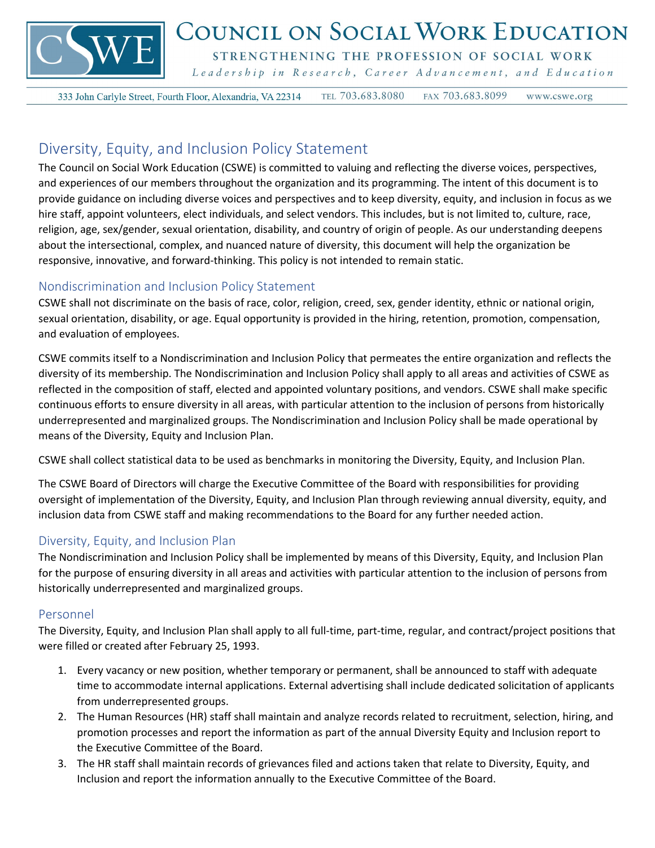

# COUNCIL ON SOCIAL WORK EDUCATION

STRENGTHENING THE PROFESSION OF SOCIAL WORK

Leadership in Research, Career Advancement, and Education

TEL 703.683.8080 333 John Carlyle Street, Fourth Floor, Alexandria, VA 22314 FAX 703.683.8099 www.cswe.org

## Diversity, Equity, and Inclusion Policy Statement

The Council on Social Work Education (CSWE) is committed to valuing and reflecting the diverse voices, perspectives, and experiences of our members throughout the organization and its programming. The intent of this document is to provide guidance on including diverse voices and perspectives and to keep diversity, equity, and inclusion in focus as we hire staff, appoint volunteers, elect individuals, and select vendors. This includes, but is not limited to, culture, race, religion, age, sex/gender, sexual orientation, disability, and country of origin of people. As our understanding deepens about the intersectional, complex, and nuanced nature of diversity, this document will help the organization be responsive, innovative, and forward-thinking. This policy is not intended to remain static.

### Nondiscrimination and Inclusion Policy Statement

CSWE shall not discriminate on the basis of race, color, religion, creed, sex, gender identity, ethnic or national origin, sexual orientation, disability, or age. Equal opportunity is provided in the hiring, retention, promotion, compensation, and evaluation of employees.

CSWE commits itself to a Nondiscrimination and Inclusion Policy that permeates the entire organization and reflects the diversity of its membership. The Nondiscrimination and Inclusion Policy shall apply to all areas and activities of CSWE as reflected in the composition of staff, elected and appointed voluntary positions, and vendors. CSWE shall make specific continuous efforts to ensure diversity in all areas, with particular attention to the inclusion of persons from historically underrepresented and marginalized groups. The Nondiscrimination and Inclusion Policy shall be made operational by means of the Diversity, Equity and Inclusion Plan.

CSWE shall collect statistical data to be used as benchmarks in monitoring the Diversity, Equity, and Inclusion Plan.

The CSWE Board of Directors will charge the Executive Committee of the Board with responsibilities for providing oversight of implementation of the Diversity, Equity, and Inclusion Plan through reviewing annual diversity, equity, and inclusion data from CSWE staff and making recommendations to the Board for any further needed action.

### Diversity, Equity, and Inclusion Plan

The Nondiscrimination and Inclusion Policy shall be implemented by means of this Diversity, Equity, and Inclusion Plan for the purpose of ensuring diversity in all areas and activities with particular attention to the inclusion of persons from historically underrepresented and marginalized groups.

#### Personnel

The Diversity, Equity, and Inclusion Plan shall apply to all full-time, part-time, regular, and contract/project positions that were filled or created after February 25, 1993.

- 1. Every vacancy or new position, whether temporary or permanent, shall be announced to staff with adequate time to accommodate internal applications. External advertising shall include dedicated solicitation of applicants from underrepresented groups.
- 2. The Human Resources (HR) staff shall maintain and analyze records related to recruitment, selection, hiring, and promotion processes and report the information as part of the annual Diversity Equity and Inclusion report to the Executive Committee of the Board.
- 3. The HR staff shall maintain records of grievances filed and actions taken that relate to Diversity, Equity, and Inclusion and report the information annually to the Executive Committee of the Board.